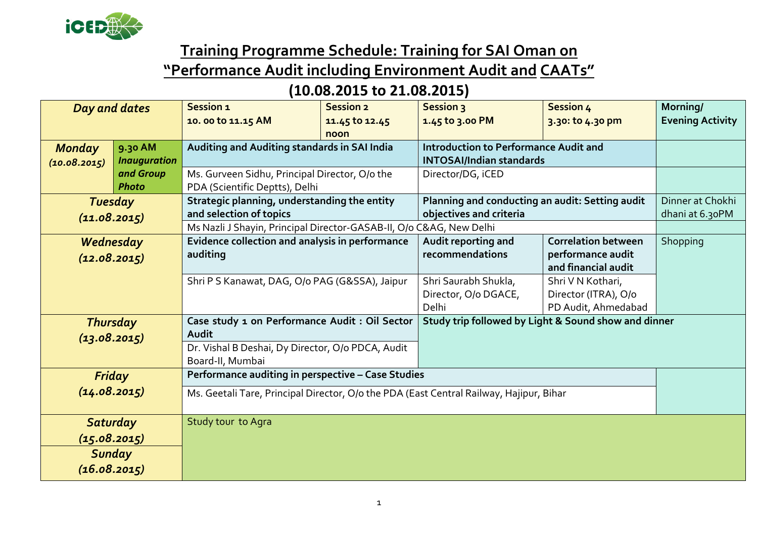

## **Training Programme Schedule: Training for SAI Oman on**

## **"Performance Audit including Environment Audit and CAATs"**

## **(10.08.2015 to 21.08.2015)**

| Day and dates                            |                                | Session 1<br>10.00 to 11.15 AM                                                                                                                 | <b>Session 2</b><br>11.45 to 12.45<br>noon | <b>Session 3</b><br>1.45 to 3.00 PM                                             | Session 4<br>3.30: to 4.30 pm                                          | Morning/<br><b>Evening Activity</b> |
|------------------------------------------|--------------------------------|------------------------------------------------------------------------------------------------------------------------------------------------|--------------------------------------------|---------------------------------------------------------------------------------|------------------------------------------------------------------------|-------------------------------------|
| <b>Monday</b><br>(10.08.2015)            | 9.30 AM<br><b>Inauguration</b> | Auditing and Auditing standards in SAI India                                                                                                   |                                            | <b>Introduction to Performance Audit and</b><br><b>INTOSAI/Indian standards</b> |                                                                        |                                     |
|                                          | and Group<br><b>Photo</b>      | Ms. Gurveen Sidhu, Principal Director, O/o the<br>PDA (Scientific Deptts), Delhi                                                               |                                            | Director/DG, iCED                                                               |                                                                        |                                     |
| <b>Tuesday</b><br>(11.08.2015)           |                                | Strategic planning, understanding the entity<br>and selection of topics<br>Ms Nazli J Shayin, Principal Director-GASAB-II, O/o C&AG, New Delhi |                                            | Planning and conducting an audit: Setting audit<br>objectives and criteria      |                                                                        | Dinner at Chokhi<br>dhani at 6.30PM |
| Wednesday<br>(12.08.2015)                |                                | Evidence collection and analysis in performance<br>auditing                                                                                    |                                            | Audit reporting and<br>recommendations                                          | <b>Correlation between</b><br>performance audit<br>and financial audit | Shopping                            |
|                                          |                                | Shri P S Kanawat, DAG, O/o PAG (G&SSA), Jaipur                                                                                                 |                                            | Shri Saurabh Shukla,<br>Director, O/o DGACE,<br>Delhi                           | Shri V N Kothari,<br>Director (ITRA), O/o<br>PD Audit, Ahmedabad       |                                     |
| <b>Thursday</b><br>(13.08.2015)          |                                | Case study 1 on Performance Audit : Oil Sector<br>Audit<br>Dr. Vishal B Deshai, Dy Director, O/o PDCA, Audit<br>Board-II, Mumbai               |                                            | Study trip followed by Light & Sound show and dinner                            |                                                                        |                                     |
| Friday<br>(14.08.2015)                   |                                | Performance auditing in perspective - Case Studies<br>Ms. Geetali Tare, Principal Director, O/o the PDA (East Central Railway, Hajipur, Bihar  |                                            |                                                                                 |                                                                        |                                     |
| Saturday<br>(15.08.2015)<br>(16.08.2015) | <b>Sunday</b>                  | Study tour to Agra                                                                                                                             |                                            |                                                                                 |                                                                        |                                     |